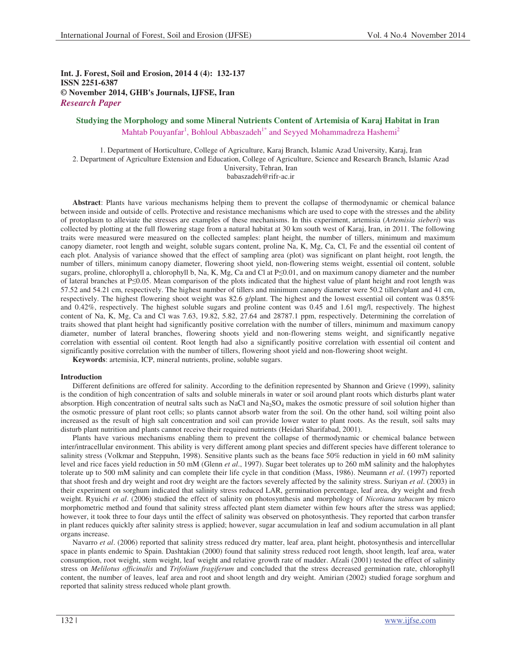**Int. J. Forest, Soil and Erosion, 2014 4 (4): 132-137 ISSN 2251-6387 © November 2014, GHB's Journals, IJFSE, Iran** *Research Paper*

# **Studying the Morphology and some Mineral Nutrients Content of Artemisia of Karaj Habitat in Iran**  Mahtab Pouyanfar<sup>1</sup>, Bohloul Abbaszadeh<sup>1\*</sup> and Seyyed Mohammadreza Hashemi<sup>2</sup>

1. Department of Horticulture, College of Agriculture, Karaj Branch, Islamic Azad University, Karaj, Iran 2. Department of Agriculture Extension and Education, College of Agriculture, Science and Research Branch, Islamic Azad University, Tehran, Iran babaszadeh@rifr-ac.ir

**Abstract**: Plants have various mechanisms helping them to prevent the collapse of thermodynamic or chemical balance between inside and outside of cells. Protective and resistance mechanisms which are used to cope with the stresses and the ability of protoplasm to alleviate the stresses are examples of these mechanisms. In this experiment, artemisia (*Artemisia sieberi*) was collected by plotting at the full flowering stage from a natural habitat at 30 km south west of Karaj, Iran, in 2011. The following traits were measured were measured on the collected samples: plant height, the number of tillers, minimum and maximum canopy diameter, root length and weight, soluble sugars content, proline Na, K, Mg, Ca, Cl, Fe and the essential oil content of each plot. Analysis of variance showed that the effect of sampling area (plot) was significant on plant height, root length, the number of tillers, minimum canopy diameter, flowering shoot yield, non-flowering stems weight, essential oil content, soluble sugars, proline, chlorophyll a, chlorophyll b, Na, K, Mg, Ca and Cl at P
lorophyll and on maximum canopy diameter and the number of lateral branches at P<0.05. Mean comparison of the plots indicated that the highest value of plant height and root length was 57.52 and 54.21 cm, respectively. The highest number of tillers and minimum canopy diameter were 50.2 tillers/plant and 41 cm, respectively. The highest flowering shoot weight was 82.6 g/plant. The highest and the lowest essential oil content was 0.85% and 0.42%, respectively. The highest soluble sugars and proline content was 0.45 and 1.61 mg/l, respectively. The highest content of Na, K, Mg, Ca and Cl was 7.63, 19.82, 5.82, 27.64 and 28787.1 ppm, respectively. Determining the correlation of traits showed that plant height had significantly positive correlation with the number of tillers, minimum and maximum canopy diameter, number of lateral branches, flowering shoots yield and non-flowering stems weight, and significantly negative correlation with essential oil content. Root length had also a significantly positive correlation with essential oil content and significantly positive correlation with the number of tillers, flowering shoot yield and non-flowering shoot weight.

**Keywords**: artemisia, ICP, mineral nutrients, proline, soluble sugars.

# **Introduction**

Different definitions are offered for salinity. According to the definition represented by Shannon and Grieve (1999), salinity is the condition of high concentration of salts and soluble minerals in water or soil around plant roots which disturbs plant water absorption. High concentration of neutral salts such as NaCl and  $Na<sub>2</sub>SO<sub>4</sub>$  makes the osmotic pressure of soil solution higher than the osmotic pressure of plant root cells; so plants cannot absorb water from the soil. On the other hand, soil wilting point also increased as the result of high salt concentration and soil can provide lower water to plant roots. As the result, soil salts may disturb plant nutrition and plants cannot receive their required nutrients (Heidari Sharifabad, 2001).

Plants have various mechanisms enabling them to prevent the collapse of thermodynamic or chemical balance between inter/intracellular environment. This ability is very different among plant species and different species have different tolerance to salinity stress (Volkmar and Steppuhn, 1998). Sensitive plants such as the beans face 50% reduction in yield in 60 mM salinity level and rice faces yield reduction in 50 mM (Glenn *et al*., 1997). Sugar beet tolerates up to 260 mM salinity and the halophytes tolerate up to 500 mM salinity and can complete their life cycle in that condition (Mass, 1986). Neumann *et al*. (1997) reported that shoot fresh and dry weight and root dry weight are the factors severely affected by the salinity stress. Suriyan *et al*. (2003) in their experiment on sorghum indicated that salinity stress reduced LAR, germination percentage, leaf area, dry weight and fresh weight. Ryuichi *et al*. (2006) studied the effect of salinity on photosynthesis and morphology of *Nicotiana tabacum* by micro morphometric method and found that salinity stress affected plant stem diameter within few hours after the stress was applied; however, it took three to four days until the effect of salinity was observed on photosynthesis. They reported that carbon transfer in plant reduces quickly after salinity stress is applied; however, sugar accumulation in leaf and sodium accumulation in all plant organs increase.

Navarro *et al.* (2006) reported that salinity stress reduced dry matter, leaf area, plant height, photosynthesis and intercellular space in plants endemic to Spain. Dashtakian (2000) found that salinity stress reduced root length, shoot length, leaf area, water consumption, root weight, stem weight, leaf weight and relative growth rate of madder. Afzali (2001) tested the effect of salinity stress on *Melilotus officinalis* and *Trifolium fragiferum* and concluded that the stress decreased germination rate, chlorophyll content, the number of leaves, leaf area and root and shoot length and dry weight. Amirian (2002) studied forage sorghum and reported that salinity stress reduced whole plant growth.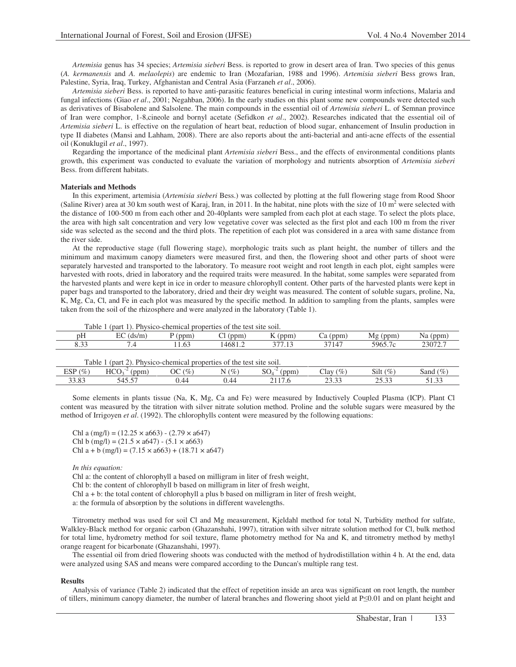*Artemisia* genus has 34 species; *Artemisia sieberi* Bess. is reported to grow in desert area of Iran. Two species of this genus (*A. kermanensis* and *A. melaolepis*) are endemic to Iran (Mozafarian, 1988 and 1996). *Artemisia sieberi* Bess grows Iran, Palestine, Syria, Iraq, Turkey, Afghanistan and Central Asia (Farzaneh *et al*., 2006).

*Artemisia sieberi* Bess. is reported to have anti-parasitic features beneficial in curing intestinal worm infections, Malaria and fungal infections (Giao *et al*., 2001; Negahban, 2006). In the early studies on this plant some new compounds were detected such as derivatives of Bisabolene and Salsolene. The main compounds in the essential oil of *Artemisia sieberi* L. of Semnan province of Iran were comphor, 1-8,cineole and bornyl acetate (Sefidkon *et al*., 2002). Researches indicated that the essential oil of *Artemisia sieberi* L. is effective on the regulation of heart beat, reduction of blood sugar, enhancement of Insulin production in type II diabetes (Mansi and Lahham, 2008). There are also reports about the anti-bacterial and anti-acne effects of the essential oil (Konuklugil *et al*., 1997).

Regarding the importance of the medicinal plant *Artemisia sieberi* Bess., and the effects of environmental conditions plants growth, this experiment was conducted to evaluate the variation of morphology and nutrients absorption of *Artemisia sieberi* Bess. from different habitats.

# **Materials and Methods**

In this experiment, artemisia (*Artemisia sieberi* Bess.) was collected by plotting at the full flowering stage from Rood Shoor (Saline River) area at 30 km south west of Karaj, Iran, in 2011. In the habitat, nine plots with the size of 10  $m<sup>2</sup>$  were selected with the distance of 100-500 m from each other and 20-40plants were sampled from each plot at each stage. To select the plots place, the area with high salt concentration and very low vegetative cover was selected as the first plot and each 100 m from the river side was selected as the second and the third plots. The repetition of each plot was considered in a area with same distance from the river side.

At the reproductive stage (full flowering stage), morphologic traits such as plant height, the number of tillers and the minimum and maximum canopy diameters were measured first, and then, the flowering shoot and other parts of shoot were separately harvested and transported to the laboratory. To measure root weight and root length in each plot, eight samples were harvested with roots, dried in laboratory and the required traits were measured. In the habitat, some samples were separated from the harvested plants and were kept in ice in order to measure chlorophyll content. Other parts of the harvested plants were kept in paper bags and transported to the laboratory, dried and their dry weight was measured. The content of soluble sugars, proline, Na, K, Mg, Ca, Cl, and Fe in each plot was measured by the specific method. In addition to sampling from the plants, samples were taken from the soil of the rhizosphere and were analyzed in the laboratory (Table 1).

| Table | (part) |       | Physico-chemical properties of the test site soil. |       |       |             |         |
|-------|--------|-------|----------------------------------------------------|-------|-------|-------------|---------|
| pΗ    | (ds/m) | (ppm) | (ppm)                                              | (ppm) | (ppm  | (ppm)<br>Mφ | (ppm    |
| 8.33  |        | 1.63  | 4681.2                                             |       | 37147 | 5965.7c     | 23072.7 |

| 2). Physico-chemical properties of the test site soil.<br>Table<br>(part) |            |                       |         |               |                 |                |                |  |  |
|---------------------------------------------------------------------------|------------|-----------------------|---------|---------------|-----------------|----------------|----------------|--|--|
| ESP $(\% )$                                                               | HCO<br>ppm | CO <sub>6</sub><br>ЭC | $N(\%)$ | $\sim$<br>ppm | $(\%)$<br>Clay  | Silt $(\%)$    | $(\%)$<br>Sand |  |  |
| 33.83                                                                     |            | 44                    | 44.ر    |               | $\sim$<br>۔ ب ب | ヘビ つつ<br>ت ب ب | ن ر.           |  |  |

Some elements in plants tissue (Na, K, Mg, Ca and Fe) were measured by Inductively Coupled Plasma (ICP). Plant Cl content was measured by the titration with silver nitrate solution method. Proline and the soluble sugars were measured by the method of Irrigoyen *et al*. (1992). The chlorophylls content were measured by the following equations:

Chl a  $(mg/l) = (12.25 \times a663) - (2.79 \times a647)$ Chl b  $(mg/l) = (21.5 \times a647) - (5.1 \times a663)$ Chl a + b (mg/l) =  $(7.15 \times a663) + (18.71 \times a647)$ 

## *In this equation:*

Chl a: the content of chlorophyll a based on milligram in liter of fresh weight,

Chl b: the content of chlorophyll b based on milligram in liter of fresh weight,

Chl  $a + b$ : the total content of chlorophyll a plus b based on milligram in liter of fresh weight,

a: the formula of absorption by the solutions in different wavelengths.

Titrometry method was used for soil Cl and Mg measurement, Kjeldahl method for total N, Turbidity method for sulfate, Walkley-Black method for organic carbon (Ghazanshahi, 1997), titration with silver nitrate solution method for Cl, bulk method for total lime, hydrometry method for soil texture, flame photometry method for Na and K, and titrometry method by methyl orange reagent for bicarbonate (Ghazanshahi, 1997).

The essential oil from dried flowering shoots was conducted with the method of hydrodistillation within 4 h. At the end, data were analyzed using SAS and means were compared according to the Duncan's multiple rang test.

#### **Results**

Analysis of variance (Table 2) indicated that the effect of repetition inside an area was significant on root length, the number of tillers, minimum canopy diameter, the number of lateral branches and flowering shoot yield at P $\leq 0.01$  and on plant height and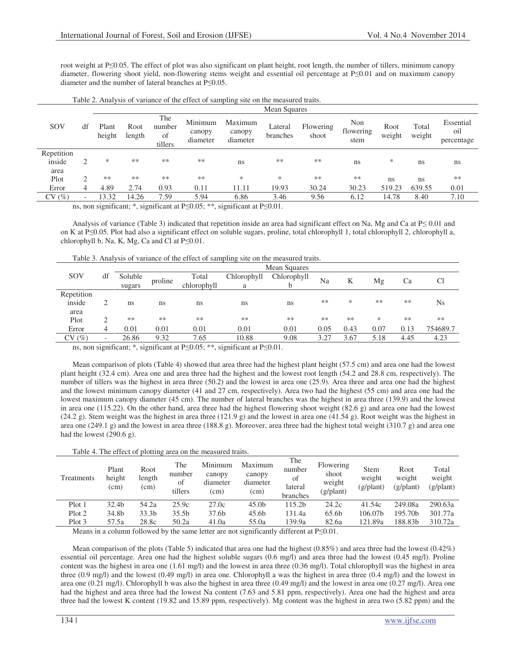root weight at P

subseteq 1.005. The effect of plot was also significant on plant height, root length, the number of tillers, minimum canopy diameter, flowering shoot yield, non-flowering stems weight and essential oil percentage at P<0.01 and on maximum canopy diameter and the number of lateral branches at  $P \leq 0.05$ .

|            |               |                        | Mean Squares                       |                                |                               |                               |                                           |                    |                          |                |                 |                                |  |  |
|------------|---------------|------------------------|------------------------------------|--------------------------------|-------------------------------|-------------------------------|-------------------------------------------|--------------------|--------------------------|----------------|-----------------|--------------------------------|--|--|
| SOV        | df            | Plant<br>height        | Root<br>length                     | The<br>number<br>of<br>tillers | Minimum<br>canopy<br>diameter | Maximum<br>canopy<br>diameter | Lateral<br>branches                       | Flowering<br>shoot | Non<br>flowering<br>stem | Root<br>weight | Total<br>weight | Essential<br>oil<br>percentage |  |  |
| Repetition |               |                        |                                    |                                |                               |                               |                                           |                    |                          |                |                 |                                |  |  |
| inside     | $\mathcal{D}$ | *                      | **                                 | $**$                           | **                            | ns                            | **                                        | **                 | ns                       | ∗              | ns.             | ns                             |  |  |
| area       |               |                        |                                    |                                |                               |                               |                                           |                    |                          |                |                 |                                |  |  |
| Plot       | $\bigcap$     | **                     | $**$                               | $**$                           | **                            | *                             | *                                         | **                 | **                       | ns             | ns              | **                             |  |  |
| Error      | 4             | 4.89                   | 2.74                               | 0.93                           | 0.11                          | 11.11                         | 19.93                                     | 30.24              | 30.23                    | 519.23         | 639.55          | 0.01                           |  |  |
| CV(%)      |               | 13.32                  | 14.26                              | 7.59                           | 5.94                          | 6.86                          | 3.46                                      | 9.56               | 6.12                     | 14.78          | 8.40            | 7.10                           |  |  |
|            |               | $\cdot$ $\cdot$ $\sim$ | $\sim$ $\sim$ $\sim$ $\sim$ $\sim$ | $\cdot$ $\sim$                 |                               | $\cdot$ $\sim$                | $\sim$ $\sim$ $\sim$ $\sim$ $\sim$ $\sim$ |                    |                          |                |                 |                                |  |  |

ns, non significant; \*, significant at  $P \le 0.05$ ; \*\*, significant at  $P \le 0.01$ .

Analysis of variance (Table 3) indicated that repetition inside an area had significant effect on Na, Mg and Ca at  $P \le 0.01$  and on K at P-0.05. Plot had also a significant effect on soluble sugars, proline, total chlorophyll 1, total chlorophyll 2, chlorophyll a, chlorophyll b, Na, K, Mg, Ca and Cl at  $P \le 0.01$ .

Table 3. Analysis of variance of the effect of sampling site on the measured traits.

|            |                          |               | Mean Squares |             |             |             |      |      |      |      |          |  |  |  |
|------------|--------------------------|---------------|--------------|-------------|-------------|-------------|------|------|------|------|----------|--|--|--|
| SOV        | df                       | Soluble       | proline      | Total       | Chlorophyll | Chlorophyll | Na   | Κ    | Mg   | Ca   |          |  |  |  |
|            |                          | sugars        |              | chlorophyll | a           |             |      |      |      |      |          |  |  |  |
| Repetition |                          |               |              |             |             |             |      |      |      |      |          |  |  |  |
| inside     |                          | <sub>ns</sub> | ns           | ns          | ns          | ns          | **   | *    | **   | **   | Ns       |  |  |  |
| area       |                          |               |              |             |             |             |      |      |      |      |          |  |  |  |
| Plot       |                          | **            | **           | **          | **          | **          | **   | **   | $*$  | **   | **       |  |  |  |
| Error      | 4                        | 0.01          | 0.01         | 0.01        | 0.01        | 0.01        | 0.05 | 0.43 | 0.07 | 0.13 | 754689.7 |  |  |  |
| CV(%)      | $\overline{\phantom{0}}$ | 26.86         | 9.32         | 7.65        | 10.88       | 9.08        | 3.27 | 3.67 | 5.18 | 4.45 | 4.23     |  |  |  |

ns, non significant; \*, significant at  $P \le 0.05$ ; \*\*, significant at  $P \le 0.01$ .

Mean comparison of plots (Table 4) showed that area three had the highest plant height (57.5 cm) and area one had the lowest plant height (32.4 cm). Area one and area three had the highest and the lowest root length (54.2 and 28.8 cm, respectively). The number of tillers was the highest in area three (50.2) and the lowest in area one (25.9). Area three and area one had the highest and the lowest minimum canopy diameter (41 and 27 cm, respectively). Area two had the highest (55 cm) and area one had the lowest maximum canopy diameter (45 cm). The number of lateral branches was the highest in area three (139.9) and the lowest in area one (115.22). On the other hand, area three had the highest flowering shoot weight (82.6 g) and area one had the lowest (24.2 g). Stem weight was the highest in area three (121.9 g) and the lowest in area one (41.54 g). Root weight was the highest in area one (249.1 g) and the lowest in area three (188.8 g). Moreover, area three had the highest total weight (310.7 g) and area one had the lowest (290.6 g).

|            |                         |                        |                                | Table 4. The effect of plotting area on the measured traits. |                                       |                                            |                                                    |                                             |                                      |                                       |
|------------|-------------------------|------------------------|--------------------------------|--------------------------------------------------------------|---------------------------------------|--------------------------------------------|----------------------------------------------------|---------------------------------------------|--------------------------------------|---------------------------------------|
| Treatments | Plant<br>height<br>(cm) | Root<br>length<br>(cm) | The<br>number<br>of<br>tillers | Minimum<br>canopy<br>diameter<br>(cm)                        | Maximum<br>canopy<br>diameter<br>(cm) | The<br>number<br>of<br>lateral<br>branches | Flowering<br>shoot<br>weight<br>$(g/\text{plant})$ | <b>Stem</b><br>weight<br>$(g/\text{plant})$ | Root<br>weight<br>$(g/\text{plant})$ | Total<br>weight<br>$(g/\text{plant})$ |
| Plot 1     | 32.4b                   | 54.2a                  | 25.9c                          | 27.0c                                                        | 45.0 <sub>b</sub>                     | 115.2 <sub>b</sub>                         | 24.2c                                              | 41.54c                                      | 249.08a                              | 290.63a                               |
| Plot 2     | 34.8b                   | 33.3 <sub>b</sub>      | 35.5 <sub>b</sub>              | 37.6b                                                        | 45.6 <sub>b</sub>                     | 131.4a                                     | 65.6b                                              | 106.07b                                     | 195.70 <sub>b</sub>                  | 301.77a                               |

Means in a column followed by the same letter are not significantly different at  $P \le 0.01$ .

Mean comparison of the plots (Table 5) indicated that area one had the highest (0.85%) and area three had the lowest (0.42%) essential oil percentage. Area one had the highest soluble sugars (0.6 mg/l) and area three had the lowest (0.45 mg/l). Proline content was the highest in area one (1.61 mg/l) and the lowest in area three (0.36 mg/l). Total chlorophyll was the highest in area three (0.9 mg/l) and the lowest (0.49 mg/l) in area one. Chlorophyll a was the highest in area three (0.4 mg/l) and the lowest in area one (0.21 mg/l). Chlorophyll b was also the highest in area three (0.49 mg/l) and the lowest in area one (0.27 mg/l). Area one had the highest and area three had the lowest Na content (7.63 and 5.81 ppm, respectively). Area one had the highest and area three had the lowest K content (19.82 and 15.89 ppm, respectively). Mg content was the highest in area two (5.82 ppm) and the

Plot 3 57.5a 28.8c 50.2a 41.0a 55.0a 139.9a 82.6a 121.89a 188.83b 310.72a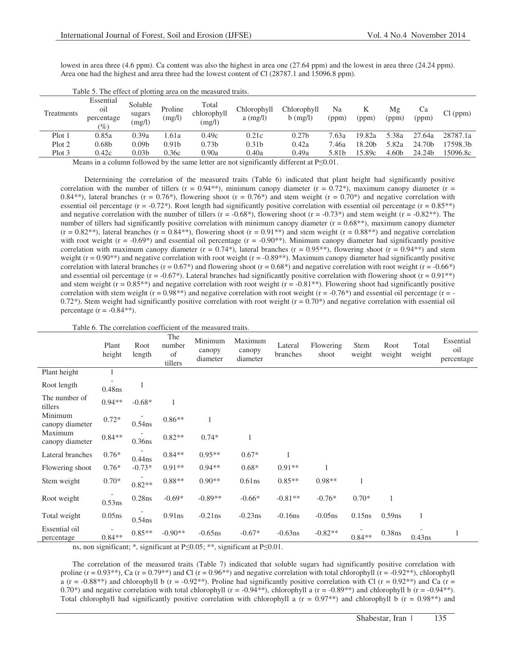lowest in area three (4.6 ppm). Ca content was also the highest in area one (27.64 ppm) and the lowest in area three (24.24 ppm). Area one had the highest and area three had the lowest content of Cl (28787.1 and 15096.8 ppm).

| Treatments | Essential<br>01<br>percentage<br>(9) | Soluble<br>sugars<br>(mg/l) | Proline<br>(mg/l) | Total<br>chlorophyll<br>(mg/l) | Chlorophyll<br>$a$ (mg/l)                                                                    | Chlorophyll<br>$b$ (mg/l) | Na<br>(ppm) | (ppm)  | Mg<br>(ppm) | Ca<br>'ppm)        | Cl (ppm) |
|------------|--------------------------------------|-----------------------------|-------------------|--------------------------------|----------------------------------------------------------------------------------------------|---------------------------|-------------|--------|-------------|--------------------|----------|
| Plot 1     | 0.85a                                | 0.39a                       | .61a              | 0.49c                          | 0.21c                                                                                        | 0.27 <sub>b</sub>         | 7.63a       | 19.82a | 5.38a       | 27.64a             | 28787.1a |
| Plot 2     | 0.68 <sub>b</sub>                    | 0.09b                       | 0.91 <sub>b</sub> | 0.73 <sub>b</sub>              | 0.31 <sub>b</sub>                                                                            | 0.42a                     | 7.46a       | 18.20b | 5.82a       | 24.70 <sub>b</sub> | 7598.3b  |
| Plot 3     | 0.42c                                | 0.03b                       | 0.36c             | 0.90a                          | 0.40a                                                                                        | 0.49a                     | 5.81b       | 15.89c | 4.60b       | 24.24b             | 15096.8c |
|            |                                      |                             |                   |                                | $M_{\rm{2000}}$ in a solumn followed booth a completence of the initial infinite $\sim 0.01$ |                           |             |        |             |                    |          |

Table 5. The effect of plotting area on the measured traits.

Means in a column followed by the same letter are not significantly different at  $P \leq 0.01$ .

Determining the correlation of the measured traits (Table 6) indicated that plant height had significantly positive correlation with the number of tillers ( $r = 0.94$ \*\*), minimum canopy diameter ( $r = 0.72$ \*), maximum canopy diameter ( $r =$ 0.84\*\*), lateral branches (r = 0.76\*), flowering shoot (r = 0.76\*) and stem weight (r = 0.70\*) and negative correlation with essential oil percentage ( $r = -0.72$ <sup>\*</sup>). Root length had significantly positive correlation with essential oil percentage ( $r = 0.85$ <sup>\*\*</sup>) and negative correlation with the number of tillers ( $r = -0.68^*$ ), flowering shoot ( $r = -0.73^*$ ) and stem weight ( $r = -0.82^{**}$ ). The number of tillers had significantly positive correlation with minimum canopy diameter  $(r = 0.68**)$ , maximum canopy diameter  $(r = 0.82^{**})$ , lateral branches  $(r = 0.84^{**})$ , flowering shoot  $(r = 0.91^{**})$  and stem weight  $(r = 0.88^{**})$  and negative correlation with root weight ( $r = -0.69$ <sup>\*</sup>) and essential oil percentage ( $r = -0.90$ <sup>\*\*</sup>). Minimum canopy diameter had significantly positive correlation with maximum canopy diameter ( $r = 0.74$ ), lateral branches ( $r = 0.95$ ), flowering shoot ( $r = 0.94$ <sup>\*\*</sup>) and stem weight ( $r = 0.90$ <sup>\*\*</sup>) and negative correlation with root weight ( $r = -0.89$ <sup>\*\*</sup>). Maximum canopy diameter had significantly positive correlation with lateral branches ( $r = 0.67^*$ ) and flowering shoot ( $r = 0.68^*$ ) and negative correlation with root weight ( $r = -0.66^*$ ) and essential oil percentage  $(r = -0.67^*)$ . Lateral branches had significantly positive correlation with flowering shoot  $(r = 0.91^{**})$ and stem weight  $(r = 0.85^{**})$  and negative correlation with root weight  $(r = -0.81^{**})$ . Flowering shoot had significantly positive correlation with stem weight ( $r = 0.98$ \*\*) and negative correlation with root weight ( $r = -0.76$ \*) and essential oil percentage ( $r = -0.76$ \*) 0.72<sup>\*</sup>). Stem weight had significantly positive correlation with root weight ( $r = 0.70$ <sup>\*</sup>) and negative correlation with essential oil percentage ( $r = -0.84**$ ).

|                             | Plant<br>height | Root<br>length | The<br>number<br>of<br>tillers | Minimum<br>canopy<br>diameter | Maximum<br>canopy<br>diameter | Lateral<br>branches | Flowering<br>shoot | Stem<br>weight | Root<br>weight | Total<br>weight | Essential<br>oil<br>percentage |
|-----------------------------|-----------------|----------------|--------------------------------|-------------------------------|-------------------------------|---------------------|--------------------|----------------|----------------|-----------------|--------------------------------|
| Plant height                |                 |                |                                |                               |                               |                     |                    |                |                |                 |                                |
| Root length                 | $0.48$ ns       |                |                                |                               |                               |                     |                    |                |                |                 |                                |
| The number of<br>tillers    | $0.94**$        | $-0.68*$       |                                |                               |                               |                     |                    |                |                |                 |                                |
| Minimum<br>canopy diameter  | $0.72*$         | $0.54$ ns      | $0.86**$                       | 1                             |                               |                     |                    |                |                |                 |                                |
| Maximum<br>canopy diameter  | $0.84**$        | $0.36$ ns      | $0.82**$                       | $0.74*$                       |                               |                     |                    |                |                |                 |                                |
| Lateral branches            | $0.76*$         | $0.44$ ns      | $0.84**$                       | $0.95**$                      | $0.67*$                       | 1                   |                    |                |                |                 |                                |
| Flowering shoot             | $0.76*$         | $-0.73*$       | $0.91**$                       | $0.94**$                      | $0.68*$                       | $0.91**$            | 1                  |                |                |                 |                                |
| Stem weight                 | $0.70*$         | $0.82**$       | $0.88**$                       | $0.90**$                      | $0.61$ ns                     | $0.85**$            | $0.98**$           | 1              |                |                 |                                |
| Root weight                 | 0.53ns          | $0.28$ ns      | $-0.69*$                       | $-0.89**$                     | $-0.66*$                      | $-0.81**$           | $-0.76*$           | $0.70*$        | $\mathbf{1}$   |                 |                                |
| Total weight                | $0.05$ ns       | $0.54$ ns      | 0.91ns                         | $-0.21$ ns                    | $-0.23$ ns                    | $-0.16$ ns          | $-0.05$ ns         | $0.15$ ns      | $0.59$ ns      | $\mathbf{1}$    |                                |
| Essential oil<br>percentage | $0.84**$        | $0.85**$       | $-0.90**$                      | $-0.65$ ns                    | $-0.67*$                      | $-0.63$ ns          | $-0.82**$          | $0.84**$       | $0.38$ ns      | $0.43$ ns       | 1                              |

ns, non significant; \*, significant at  $P \le 0.05$ ; \*\*, significant at  $P \le 0.01$ .

The correlation of the measured traits (Table 7) indicated that soluble sugars had significantly positive correlation with proline ( $r = 0.93**$ ), Ca ( $r = 0.79**$ ) and Cl ( $r = 0.96**$ ) and negative correlation with total chlorophyll ( $r = -0.92**$ ), chlorophyll a (r = -0.88<sup>\*\*</sup>)</sup> and chlorophyll b (r = -0.92<sup>\*\*</sup>). Proline had significantly positive correlation with Cl (r = 0.92<sup>\*\*</sup>) and Ca (r = 0.70\*) and negative correlation with total chlorophyll (r = -0.94\*\*), chlorophyll a (r = -0.89\*\*) and chlorophyll b (r = -0.94\*\*). Total chlorophyll had significantly positive correlation with chlorophyll a  $(r = 0.97**)$  and chlorophyll b  $(r = 0.98**)$  and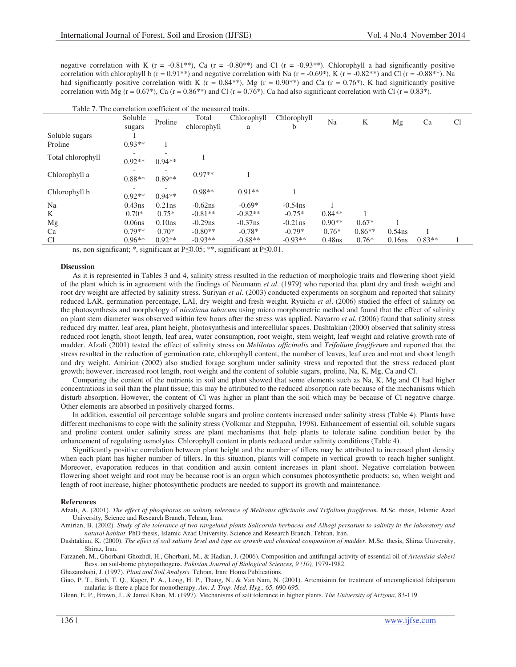negative correlation with K ( $r = -0.81**$ ), Ca ( $r = -0.80**$ ) and Cl ( $r = -0.93**$ ). Chlorophyll a had significantly positive correlation with chlorophyll b ( $r = 0.91$ <sup>\*\*</sup>) and negative correlation with Na ( $r = -0.69$ <sup>\*</sup>), K ( $r = -0.82$ <sup>\*\*</sup>) and Cl ( $r = -0.88$ <sup>\*\*</sup>). Na had significantly positive correlation with K ( $r = 0.84$ \*\*), Mg ( $r = 0.90$ \*\*) and Ca ( $r = 0.76$ \*). K had significantly positive correlation with Mg (r =  $0.67^*$ ), Ca (r =  $0.86^{**}$ ) and Cl (r =  $0.76^*$ ). Ca had also significant correlation with Cl (r =  $0.83^*$ ).

|                   | Soluble            |           | Total       | Chlorophyll | Chlorophyll |           |          |           |          | C <sub>1</sub> |
|-------------------|--------------------|-----------|-------------|-------------|-------------|-----------|----------|-----------|----------|----------------|
|                   | sugars             | Proline   | chlorophyll | a           | b           | Na        | K        | Mg        | Ca       |                |
| Soluble sugars    |                    |           |             |             |             |           |          |           |          |                |
| Proline           | $0.93**$           |           |             |             |             |           |          |           |          |                |
| Total chlorophyll | $0.92**$           | $0.94**$  |             |             |             |           |          |           |          |                |
| Chlorophyll a     | $0.88**$           | $0.89**$  | $0.97**$    |             |             |           |          |           |          |                |
| Chlorophyll b     | $0.92**$           | $0.94**$  | $0.98**$    | $0.91**$    |             |           |          |           |          |                |
| Na                | $0.43$ ns          | $0.21$ ns | $-0.62$ ns  | $-0.69*$    | $-0.54$ ns  |           |          |           |          |                |
| K                 | $0.70*$            | $0.75*$   | $-0.81**$   | $-0.82**$   | $-0.75*$    | $0.84**$  |          |           |          |                |
| Mg                | 0.06 <sub>ns</sub> | 0.10ns    | $-0.29$ ns  | $-0.37$ ns  | $-0.21$ ns  | $0.90**$  | $0.67*$  |           |          |                |
| Ca                | $0.79**$           | $0.70*$   | $-0.80**$   | $-0.78*$    | $-0.79*$    | $0.76*$   | $0.86**$ | $0.54$ ns |          |                |
| <sup>C</sup> l    | $0.96**$           | $0.92**$  | $-0.93**$   | $-0.88**$   | $-0.93**$   | $0.48$ ns | $0.76*$  | $0.16$ ns | $0.83**$ |                |

### Table 7. The correlation coefficient of the measured traits.

ns, non significant; \*, significant at  $P \le 0.05$ ; \*\*, significant at  $P \le 0.01$ .

#### **Discussion**

As it is represented in Tables 3 and 4, salinity stress resulted in the reduction of morphologic traits and flowering shoot yield of the plant which is in agreement with the findings of Neumann *et al*. (1979) who reported that plant dry and fresh weight and root dry weight are affected by salinity stress. Suriyan *et al*. (2003) conducted experiments on sorghum and reported that salinity reduced LAR, germination percentage, LAI, dry weight and fresh weight. Ryuichi *et al*. (2006) studied the effect of salinity on the photosynthesis and morphology of *nicotiana tabacum* using micro morphometric method and found that the effect of salinity on plant stem diameter was observed within few hours after the stress was applied. Navarro *et al*. (2006) found that salinity stress reduced dry matter, leaf area, plant height, photosynthesis and intercellular spaces. Dashtakian (2000) observed that salinity stress reduced root length, shoot length, leaf area, water consumption, root weight, stem weight, leaf weight and relative growth rate of madder. Afzali (2001) tested the effect of salinity stress on *Melilotus officinalis* and *Trifolium fragiferum* and reported that the stress resulted in the reduction of germination rate, chlorophyll content, the number of leaves, leaf area and root and shoot length and dry weight. Amirian (2002) also studied forage sorghum under salinity stress and reported that the stress reduced plant growth; however, increased root length, root weight and the content of soluble sugars, proline, Na, K, Mg, Ca and Cl.

Comparing the content of the nutrients in soil and plant showed that some elements such as Na, K, Mg and Cl had higher concentrations in soil than the plant tissue; this may be attributed to the reduced absorption rate because of the mechanisms which disturb absorption. However, the content of Cl was higher in plant than the soil which may be because of Cl negative charge. Other elements are absorbed in positively charged forms.

In addition, essential oil percentage soluble sugars and proline contents increased under salinity stress (Table 4). Plants have different mechanisms to cope with the salinity stress (Volkmar and Steppuhn, 1998). Enhancement of essential oil, soluble sugars and proline content under salinity stress are plant mechanisms that help plants to tolerate saline condition better by the enhancement of regulating osmolytes. Chlorophyll content in plants reduced under salinity conditions (Table 4).

Significantly positive correlation between plant height and the number of tillers may be attributed to increased plant density when each plant has higher number of tillers. In this situation, plants will compete in vertical growth to reach higher sunlight. Moreover, evaporation reduces in that condition and auxin content increases in plant shoot. Negative correlation between flowering shoot weight and root may be because root is an organ which consumes photosynthetic products; so, when weight and length of root increase, higher photosynthetic products are needed to support its growth and maintenance.

#### **References**

Afzali, A. (2001). *The effect of phosphorus on salinity tolerance of Melilotus officinalis and Trifolium fragiferum*. M.Sc. thesis, Islamic Azad University, Science and Research Branch, Tehran, Iran.

Amirian, B. (2002). *Study of the tolerance of two rangeland plants Salicornia herbacea and Alhagi persarum to salinity in the laboratory and natural habitat*. PhD thesis, Islamic Azad University, Science and Research Branch, Tehran, Iran.

Dashtakian, K. (2000). *The effect of soil salinity level and type on growth and chemical composition of madder*. M.Sc. thesis, Shiraz University, Shiraz, Iran.

Farzaneh, M., Ghorbani-Ghozhdi, H., Ghorbani, M., & Hadian, J. (2006). Composition and antifungal activity of essential oil of *Artemisia sieberi* Bess. on soil-borne phytopathogens. *Pakistan Journal of Biological Sciences, 9 (10),* 1979-1982 Ghazanshahi, J. (1997). *Plant and Soil Analysis*. Tehran, Iran: Homa Publications.

Giao, P. T., Binh, T. Q., Kager, P. A., Long, H. P., Thang, N., & Van Nam, N. (2001). Artemisinin for treatment of uncomplicated falciparum malaria: is there a place for monotherapy. *Am. J. Trop. Med. Hyg., 65,* 690-695 

Glenn, E. P., Brown, J., & Jamal Khan, M. (1997). Mechanisms of salt tolerance in higher plants. *The University of Arizona,* 83-119